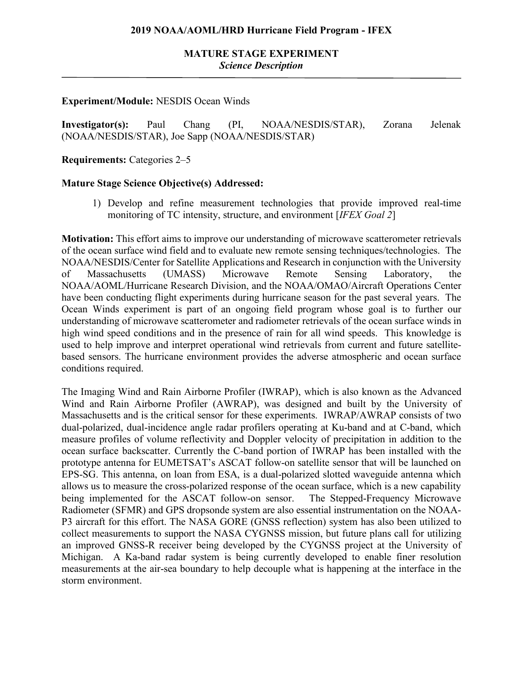# **MATURE STAGE EXPERIMENT** *Science Description*

### **Experiment/Module:** NESDIS Ocean Winds

**Investigator(s):** Paul Chang (PI, NOAA/NESDIS/STAR), Zorana Jelenak (NOAA/NESDIS/STAR), Joe Sapp (NOAA/NESDIS/STAR)

**Requirements:** Categories 2–5

### **Mature Stage Science Objective(s) Addressed:**

1) Develop and refine measurement technologies that provide improved real-time monitoring of TC intensity, structure, and environment [*IFEX Goal 2*]

**Motivation:** This effort aims to improve our understanding of microwave scatterometer retrievals of the ocean surface wind field and to evaluate new remote sensing techniques/technologies. The NOAA/NESDIS/Center for Satellite Applications and Research in conjunction with the University of Massachusetts (UMASS) Microwave Remote Sensing Laboratory, the NOAA/AOML/Hurricane Research Division, and the NOAA/OMAO/Aircraft Operations Center have been conducting flight experiments during hurricane season for the past several years. The Ocean Winds experiment is part of an ongoing field program whose goal is to further our understanding of microwave scatterometer and radiometer retrievals of the ocean surface winds in high wind speed conditions and in the presence of rain for all wind speeds. This knowledge is used to help improve and interpret operational wind retrievals from current and future satellitebased sensors. The hurricane environment provides the adverse atmospheric and ocean surface conditions required.

The Imaging Wind and Rain Airborne Profiler (IWRAP), which is also known as the Advanced Wind and Rain Airborne Profiler (AWRAP), was designed and built by the University of Massachusetts and is the critical sensor for these experiments. IWRAP/AWRAP consists of two dual-polarized, dual-incidence angle radar profilers operating at Ku-band and at C-band, which measure profiles of volume reflectivity and Doppler velocity of precipitation in addition to the ocean surface backscatter. Currently the C-band portion of IWRAP has been installed with the prototype antenna for EUMETSAT's ASCAT follow-on satellite sensor that will be launched on EPS-SG. This antenna, on loan from ESA, is a dual-polarized slotted waveguide antenna which allows us to measure the cross-polarized response of the ocean surface, which is a new capability being implemented for the ASCAT follow-on sensor. The Stepped-Frequency Microwave Radiometer (SFMR) and GPS dropsonde system are also essential instrumentation on the NOAA-P3 aircraft for this effort. The NASA GORE (GNSS reflection) system has also been utilized to collect measurements to support the NASA CYGNSS mission, but future plans call for utilizing an improved GNSS-R receiver being developed by the CYGNSS project at the University of Michigan. A Ka-band radar system is being currently developed to enable finer resolution measurements at the air-sea boundary to help decouple what is happening at the interface in the storm environment.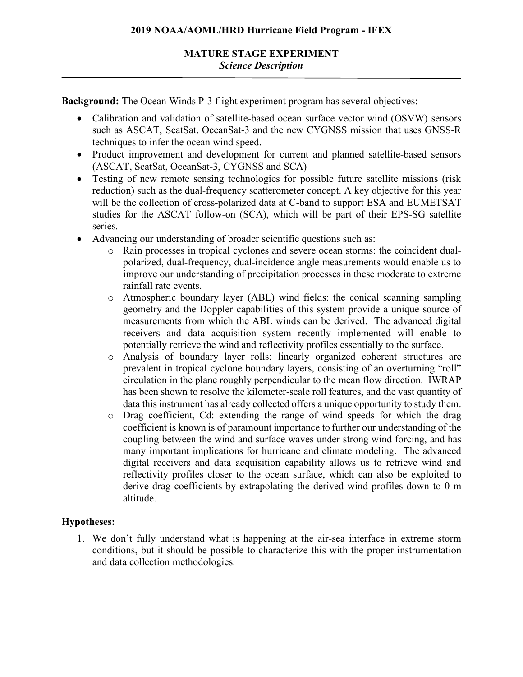**Background:** The Ocean Winds P-3 flight experiment program has several objectives:

- Calibration and validation of satellite-based ocean surface vector wind (OSVW) sensors such as ASCAT, ScatSat, OceanSat-3 and the new CYGNSS mission that uses GNSS-R techniques to infer the ocean wind speed.
- Product improvement and development for current and planned satellite-based sensors (ASCAT, ScatSat, OceanSat-3, CYGNSS and SCA)
- Testing of new remote sensing technologies for possible future satellite missions (risk reduction) such as the dual-frequency scatterometer concept. A key objective for this year will be the collection of cross-polarized data at C-band to support ESA and EUMETSAT studies for the ASCAT follow-on (SCA), which will be part of their EPS-SG satellite series.
- Advancing our understanding of broader scientific questions such as:
	- o Rain processes in tropical cyclones and severe ocean storms: the coincident dualpolarized, dual-frequency, dual-incidence angle measurements would enable us to improve our understanding of precipitation processes in these moderate to extreme rainfall rate events.
	- o Atmospheric boundary layer (ABL) wind fields: the conical scanning sampling geometry and the Doppler capabilities of this system provide a unique source of measurements from which the ABL winds can be derived. The advanced digital receivers and data acquisition system recently implemented will enable to potentially retrieve the wind and reflectivity profiles essentially to the surface.
	- o Analysis of boundary layer rolls: linearly organized coherent structures are prevalent in tropical cyclone boundary layers, consisting of an overturning "roll" circulation in the plane roughly perpendicular to the mean flow direction. IWRAP has been shown to resolve the kilometer-scale roll features, and the vast quantity of data this instrument has already collected offers a unique opportunity to study them.
	- o Drag coefficient, Cd: extending the range of wind speeds for which the drag coefficient is known is of paramount importance to further our understanding of the coupling between the wind and surface waves under strong wind forcing, and has many important implications for hurricane and climate modeling. The advanced digital receivers and data acquisition capability allows us to retrieve wind and reflectivity profiles closer to the ocean surface, which can also be exploited to derive drag coefficients by extrapolating the derived wind profiles down to 0 m altitude.

# **Hypotheses:**

1. We don't fully understand what is happening at the air-sea interface in extreme storm conditions, but it should be possible to characterize this with the proper instrumentation and data collection methodologies.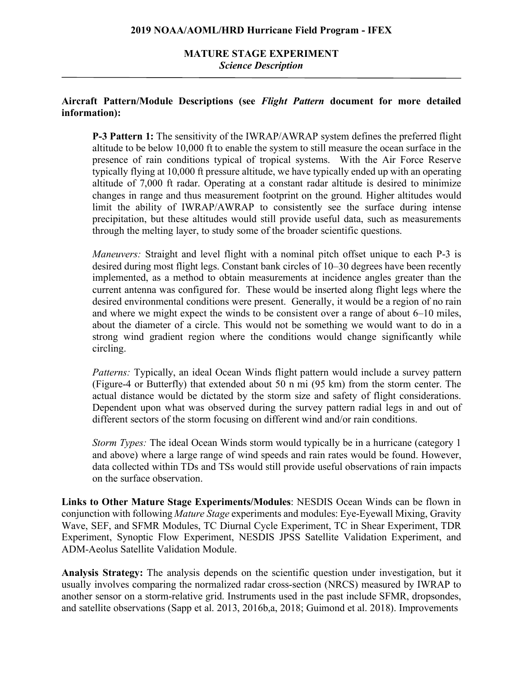# **MATURE STAGE EXPERIMENT** *Science Description*

## **Aircraft Pattern/Module Descriptions (see** *Flight Pattern* **document for more detailed information):**

**P-3 Pattern 1:** The sensitivity of the IWRAP/AWRAP system defines the preferred flight altitude to be below 10,000 ft to enable the system to still measure the ocean surface in the presence of rain conditions typical of tropical systems. With the Air Force Reserve typically flying at 10,000 ft pressure altitude, we have typically ended up with an operating altitude of 7,000 ft radar. Operating at a constant radar altitude is desired to minimize changes in range and thus measurement footprint on the ground. Higher altitudes would limit the ability of IWRAP/AWRAP to consistently see the surface during intense precipitation, but these altitudes would still provide useful data, such as measurements through the melting layer, to study some of the broader scientific questions.

*Maneuvers:* Straight and level flight with a nominal pitch offset unique to each P-3 is desired during most flight legs. Constant bank circles of 10–30 degrees have been recently implemented, as a method to obtain measurements at incidence angles greater than the current antenna was configured for. These would be inserted along flight legs where the desired environmental conditions were present. Generally, it would be a region of no rain and where we might expect the winds to be consistent over a range of about 6–10 miles, about the diameter of a circle. This would not be something we would want to do in a strong wind gradient region where the conditions would change significantly while circling.

*Patterns:* Typically, an ideal Ocean Winds flight pattern would include a survey pattern (Figure-4 or Butterfly) that extended about 50 n mi (95 km) from the storm center. The actual distance would be dictated by the storm size and safety of flight considerations. Dependent upon what was observed during the survey pattern radial legs in and out of different sectors of the storm focusing on different wind and/or rain conditions.

*Storm Types:* The ideal Ocean Winds storm would typically be in a hurricane (category 1 and above) where a large range of wind speeds and rain rates would be found. However, data collected within TDs and TSs would still provide useful observations of rain impacts on the surface observation.

**Links to Other Mature Stage Experiments/Modules**: NESDIS Ocean Winds can be flown in conjunction with following *Mature Stage* experiments and modules: Eye-Eyewall Mixing, Gravity Wave, SEF, and SFMR Modules, TC Diurnal Cycle Experiment, TC in Shear Experiment, TDR Experiment, Synoptic Flow Experiment, NESDIS JPSS Satellite Validation Experiment, and ADM-Aeolus Satellite Validation Module.

**Analysis Strategy:** The analysis depends on the scientific question under investigation, but it usually involves comparing the normalized radar cross-section (NRCS) measured by IWRAP to another sensor on a storm-relative grid. Instruments used in the past include SFMR, dropsondes, and satellite observations (Sapp et al. 2013, 2016b,a, 2018; Guimond et al. 2018). Improvements